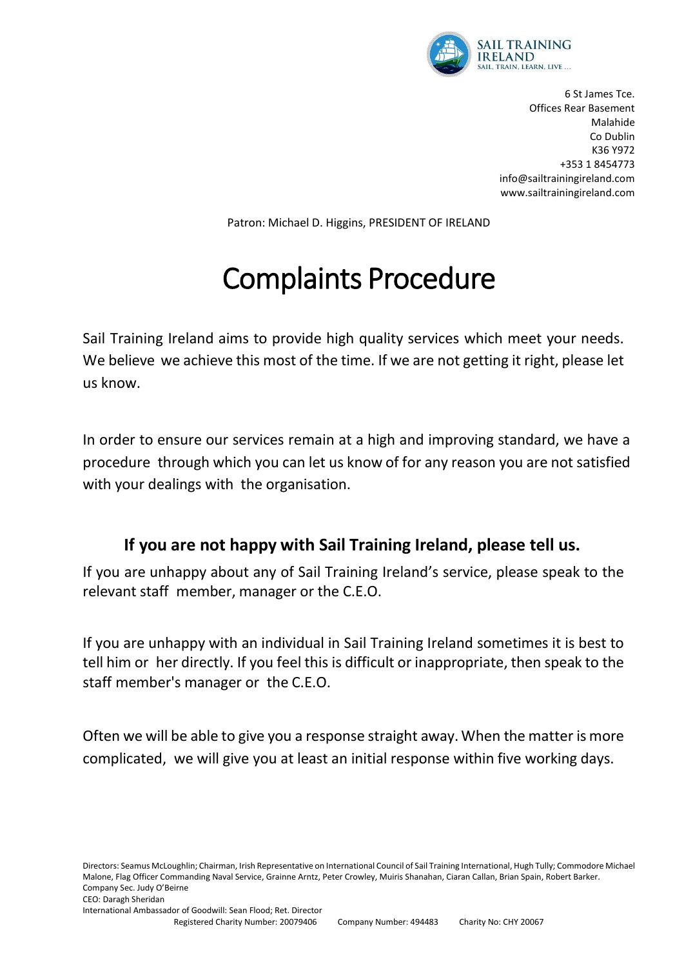

6 St James Tce. Offices Rear Basement Malahide Co Dublin K36 Y972 +353 1 8454773 info@sailtrainingireland.com www.sailtrainingireland.com

Patron: Michael D. Higgins, PRESIDENT OF IRELAND

## Complaints Procedure

Sail Training Ireland aims to provide high quality services which meet your needs. We believe we achieve this most of the time. If we are not getting it right, please let us know.

In order to ensure our services remain at a high and improving standard, we have a procedure through which you can let us know of for any reason you are not satisfied with your dealings with the organisation.

## **If you are not happy with Sail Training Ireland, please tell us.**

If you are unhappy about any of Sail Training Ireland's service, please speak to the relevant staff member, manager or the C.E.O.

If you are unhappy with an individual in Sail Training Ireland sometimes it is best to tell him or her directly. If you feel this is difficult or inappropriate, then speak to the staff member's manager or the C.E.O.

Often we will be able to give you a response straight away. When the matter is more complicated, we will give you at least an initial response within five working days.

Directors: Seamus McLoughlin; Chairman, Irish Representative on International Council of Sail Training International, Hugh Tully; Commodore Michael Malone, Flag Officer Commanding Naval Service, Grainne Arntz, Peter Crowley, Muiris Shanahan, Ciaran Callan, Brian Spain, Robert Barker. Company Sec. Judy O'Beirne CEO: Daragh Sheridan